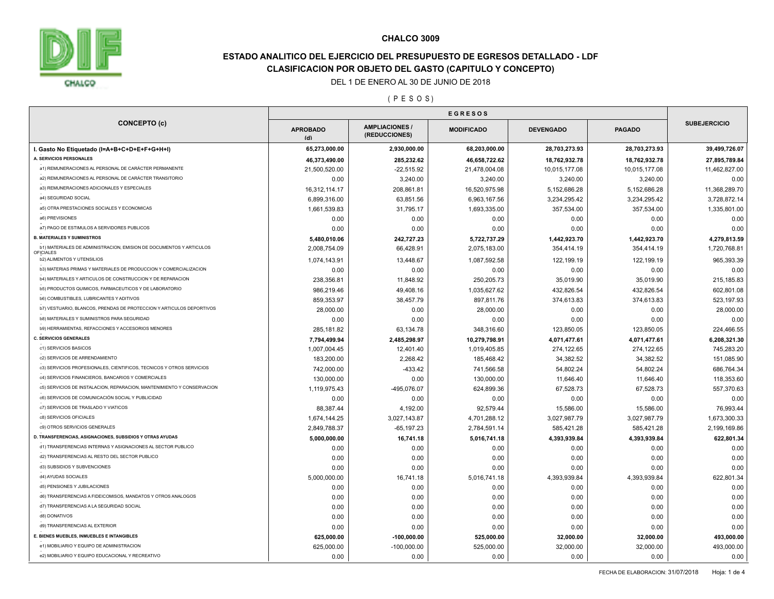

# **ESTADO ANALITICO DEL EJERCICIO DEL PRESUPUESTO DE EGRESOS DETALLADO - LDF CLASIFICACION POR OBJETO DEL GASTO (CAPITULO Y CONCEPTO)**

### DEL 1 DE ENERO AL 30 DE JUNIO DE 2018

( P E S O S )

|                                                                        | <b>EGRESOS</b>         |                                       |                   |                  |               |                     |
|------------------------------------------------------------------------|------------------------|---------------------------------------|-------------------|------------------|---------------|---------------------|
| <b>CONCEPTO (c)</b>                                                    | <b>APROBADO</b><br>(d) | <b>AMPLIACIONES/</b><br>(REDUCCIONES) | <b>MODIFICADO</b> | <b>DEVENGADO</b> | <b>PAGADO</b> | <b>SUBEJERCICIO</b> |
| I. Gasto No Etiquetado (I=A+B+C+D+E+F+G+H+I)                           | 65,273,000.00          | 2,930,000.00                          | 68,203,000.00     | 28,703,273.93    | 28,703,273.93 | 39,499,726.07       |
| A. SERVICIOS PERSONALES                                                | 46,373,490.00          | 285,232.62                            | 46,658,722.62     | 18,762,932.78    | 18,762,932.78 | 27,895,789.84       |
| a1) REMUNERACIONES AL PERSONAL DE CARÁCTER PERMANENTE                  | 21,500,520.00          | $-22,515.92$                          | 21,478,004.08     | 10,015,177.08    | 10,015,177.08 | 11,462,827.00       |
| a2) REMUNERACIONES AL PERSONAL DE CARÁCTER TRANSITORIO                 | 0.00                   | 3,240.00                              | 3,240.00          | 3,240.00         | 3,240.00      | 0.00                |
| a3) REMUNERACIONES ADICIONALES Y ESPECIALES                            | 16,312,114.17          | 208,861.81                            | 16,520,975.98     | 5,152,686.28     | 5,152,686.28  | 11,368,289.70       |
| a4) SEGURIDAD SOCIAL                                                   | 6,899,316.00           | 63,851.56                             | 6,963,167.56      | 3,234,295.42     | 3,234,295.42  | 3,728,872.14        |
| a5) OTRA PRESTACIONES SOCIALES Y ECONOMICAS                            | 1,661,539.83           | 31,795.17                             | 1,693,335.00      | 357,534.00       | 357,534.00    | 1,335,801.00        |
| a6) PREVISIONES                                                        | 0.00                   | 0.00                                  | 0.00              | 0.00             | 0.00          | 0.00                |
| a7) PAGO DE ESTIMULOS A SERVIDORES PUBLICOS                            | 0.00                   | 0.00                                  | 0.00              | 0.00             | 0.00          | 0.00                |
| <b>B. MATERIALES Y SUMINISTROS</b>                                     | 5,480,010.06           | 242,727.23                            | 5,722,737.29      | 1,442,923.70     | 1,442,923.70  | 4,279,813.59        |
| b1) MATERIALES DE ADMINISTRACION, EMISION DE DOCUMENTOS Y ARTICULOS    | 2,008,754.09           | 66,428.91                             | 2,075,183.00      | 354,414.19       | 354,414.19    | 1,720,768.81        |
| <b>OFICIALES</b><br>b2) ALIMENTOS Y UTENSILIOS                         | 1,074,143.91           | 13,448.67                             | 1,087,592.58      | 122,199.19       | 122,199.19    | 965,393.39          |
| b3) MATERIAS PRIMAS Y MATERIALES DE PRODUCCION Y COMERCIALIZACION      | 0.00                   | 0.00                                  | 0.00              | 0.00             | 0.00          | 0.00                |
| b4) MATERIALES Y ARTICULOS DE CONSTRUCCION Y DE REPARACION             | 238,356.81             | 11,848.92                             | 250,205.73        | 35,019.90        | 35,019.90     | 215, 185.83         |
| b5) PRODUCTOS QUIMICOS, FARMACEUTICOS Y DE LABORATORIO                 | 986,219.46             | 49,408.16                             | 1,035,627.62      | 432,826.54       | 432,826.54    | 602,801.08          |
| b6) COMBUSTIBLES, LUBRICANTES Y ADITIVOS                               | 859,353.97             | 38,457.79                             | 897,811.76        | 374,613.83       | 374,613.83    | 523, 197.93         |
| b7) VESTUARIO, BLANCOS, PRENDAS DE PROTECCION Y ARTICULOS DEPORTIVOS   | 28,000.00              | 0.00                                  | 28,000.00         | 0.00             | 0.00          | 28,000.00           |
| b8) MATERIALES Y SUMINISTROS PARA SEGURIDAD                            | 0.00                   | 0.00                                  | 0.00              | 0.00             | 0.00          | 0.00                |
| b9) HERRAMIENTAS, REFACCIONES Y ACCESORIOS MENORES                     | 285,181.82             | 63,134.78                             | 348,316.60        | 123,850.05       | 123,850.05    | 224,466.55          |
| <b>C. SERVICIOS GENERALES</b>                                          | 7,794,499.94           | 2,485,298.97                          | 10,279,798.91     | 4,071,477.61     | 4,071,477.61  | 6,208,321.30        |
| c1) SERVICIOS BASICOS                                                  | 1,007,004.45           | 12,401.40                             | 1,019,405.85      | 274,122.65       | 274,122.65    | 745,283.20          |
| c2) SERVICIOS DE ARRENDAMIENTO                                         | 183,200.00             | 2,268.42                              | 185,468.42        | 34,382.52        | 34,382.52     | 151,085.90          |
| c3) SERVICIOS PROFESIONALES, CIENTIFICOS, TECNICOS Y OTROS SERVICIOS   | 742,000.00             | $-433.42$                             | 741,566.58        | 54,802.24        | 54,802.24     | 686,764.34          |
| c4) SERVICIOS FINANCIEROS, BANCARIOS Y COMERCIALES                     | 130,000.00             | 0.00                                  | 130,000.00        | 11,646.40        | 11,646.40     | 118,353.60          |
| c5) SERVICIOS DE INSTALACION, REPARACION, MANTENIMIENTO Y CONSERVACION | 1,119,975.43           | -495,076.07                           | 624,899.36        | 67,528.73        | 67,528.73     | 557,370.63          |
| c6) SERVICIOS DE COMUNICACIÓN SOCIAL Y PUBLICIDAD                      | 0.00                   | 0.00                                  | 0.00              | 0.00             | 0.00          | 0.00                |
| c7) SERVICIOS DE TRASLADO Y VIATICOS                                   | 88,387.44              | 4,192.00                              | 92,579.44         | 15,586.00        | 15,586.00     | 76,993.44           |
| c8) SERVICIOS OFICIALES                                                | 1,674,144.25           | 3,027,143.87                          | 4,701,288.12      | 3,027,987.79     | 3,027,987.79  | 1,673,300.33        |
| c9) OTROS SERVICIOS GENERALES                                          | 2,849,788.37           | $-65, 197.23$                         | 2,784,591.14      | 585,421.28       | 585,421.28    | 2,199,169.86        |
| D. TRANSFERENCIAS, ASIGNACIONES, SUBSIDIOS Y OTRAS AYUDAS              | 5,000,000.00           | 16,741.18                             | 5,016,741.18      | 4,393,939.84     | 4,393,939.84  | 622,801.34          |
| d1) TRANSFERENCIAS INTERNAS Y ASIGNACIONES AL SECTOR PUBLICO           | 0.00                   | 0.00                                  | 0.00              | 0.00             | 0.00          | 0.00                |
| d2) TRANSFERENCIAS AL RESTO DEL SECTOR PUBLICO                         | 0.00                   | 0.00                                  | 0.00              | 0.00             | 0.00          | 0.00                |
| d3) SUBSIDIOS Y SUBVENCIONES                                           | 0.00                   | 0.00                                  | 0.00              | 0.00             | 0.00          | 0.00                |
| d4) AYUDAS SOCIALES                                                    | 5,000,000.00           | 16,741.18                             | 5,016,741.18      | 4,393,939.84     | 4,393,939.84  | 622,801.34          |
| d5) PENSIONES Y JUBILACIONES                                           | 0.00                   | 0.00                                  | 0.00              | 0.00             | 0.00          | 0.00                |
| d6) TRANSFERENCIAS A FIDEICOMISOS, MANDATOS Y OTROS ANALOGOS           | 0.00                   | 0.00                                  | 0.00              | 0.00             | 0.00          | 0.00                |
| d7) TRANSFERENCIAS A LA SEGURIDAD SOCIAL                               | 0.00                   | 0.00                                  | 0.00              | 0.00             | 0.00          | 0.00                |
| d8) DONATIVOS                                                          | 0.00                   | 0.00                                  | 0.00              | 0.00             | 0.00          | 0.00                |
| d9) TRANSFERENCIAS AL EXTERIOR                                         | 0.00                   | 0.00                                  | 0.00              | 0.00             | 0.00          | 0.00                |
| E. BIENES MUEBLES, INMUEBLES E INTANGIBLES                             | 625,000.00             | $-100,000.00$                         | 525,000.00        | 32,000.00        | 32,000.00     | 493,000.00          |
| e1) MOBILIARIO Y EQUIPO DE ADMINISTRACION                              | 625,000.00             | $-100,000.00$                         | 525,000.00        | 32,000.00        | 32,000.00     | 493,000.00          |
|                                                                        |                        |                                       |                   |                  |               |                     |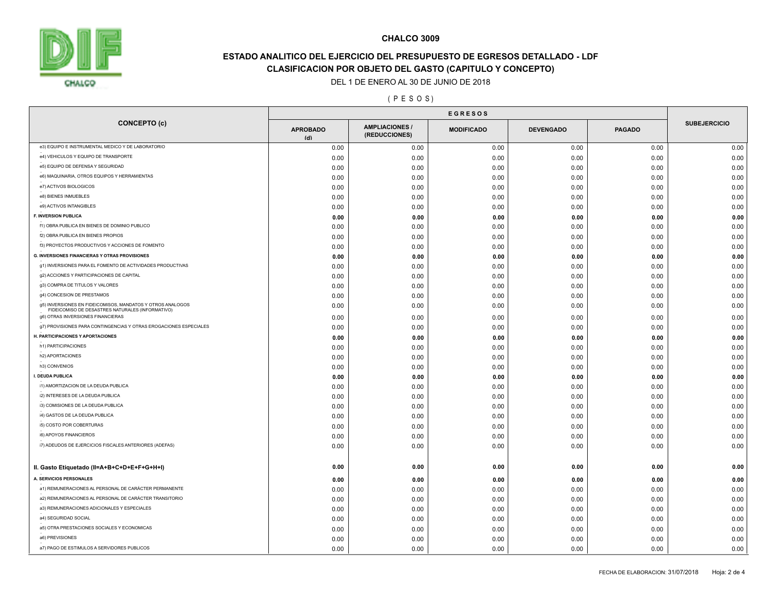

# **ESTADO ANALITICO DEL EJERCICIO DEL PRESUPUESTO DE EGRESOS DETALLADO - LDF CLASIFICACION POR OBJETO DEL GASTO (CAPITULO Y CONCEPTO)**

DEL 1 DE ENERO AL 30 DE JUNIO DE 2018

#### ( P E S O S )

|                                                                                                                |                        | <b>EGRESOS</b>                       |                   |                  |               |                     |
|----------------------------------------------------------------------------------------------------------------|------------------------|--------------------------------------|-------------------|------------------|---------------|---------------------|
| <b>CONCEPTO (c)</b>                                                                                            | <b>APROBADO</b><br>(d) | <b>AMPLIACIONES</b><br>(REDUCCIONES) | <b>MODIFICADO</b> | <b>DEVENGADO</b> | <b>PAGADO</b> | <b>SUBEJERCICIO</b> |
| e3) EQUIPO E INSTRUMENTAL MEDICO Y DE LABORATORIO                                                              | 0.00                   | 0.00                                 | 0.00              | 0.00             | 0.00          | 0.00                |
| e4) VEHICULOS Y EQUIPO DE TRANSPORTE                                                                           | 0.00                   | 0.00                                 | 0.00              | 0.00             | 0.00          | 0.00                |
| e5) EQUIPO DE DEFENSA Y SEGURIDAD                                                                              | 0.00                   | 0.00                                 | 0.00              | 0.00             | 0.00          | 0.00                |
| e6) MAQUINARIA, OTROS EQUIPOS Y HERRAMIENTAS                                                                   | 0.00                   | 0.00                                 | 0.00              | 0.00             | 0.00          | 0.00                |
| e7) ACTIVOS BIOLOGICOS                                                                                         | 0.00                   | 0.00                                 | 0.00              | 0.00             | 0.00          | 0.00                |
| e8) BIENES INMUEBLES                                                                                           | 0.00                   | 0.00                                 | 0.00              | 0.00             | 0.00          | 0.00                |
| e9) ACTIVOS INTANGIBLES                                                                                        | 0.00                   | 0.00                                 | 0.00              | 0.00             | 0.00          | 0.00                |
| F. INVERSION PUBLICA                                                                                           | 0.00                   | 0.00                                 | 0.00              | 0.00             | 0.00          | 0.00                |
| f1) OBRA PUBLICA EN BIENES DE DOMINIO PUBLICO                                                                  | 0.00                   | 0.00                                 | 0.00              | 0.00             | 0.00          | 0.00                |
| f2) OBRA PUBLICA EN BIENES PROPIOS                                                                             | 0.00                   | 0.00                                 | 0.00              | 0.00             | 0.00          | 0.00                |
| f3) PROYECTOS PRODUCTIVOS Y ACCIONES DE FOMENTO                                                                | 0.00                   | 0.00                                 | 0.00              | 0.00             | 0.00          | 0.00                |
| <b>G. INVERSIONES FINANCIERAS Y OTRAS PROVISIONES</b>                                                          | 0.00                   | 0.00                                 | 0.00              | 0.00             | 0.00          | 0.00                |
| g1) INVERSIONES PARA EL FOMENTO DE ACTIVIDADES PRODUCTIVAS                                                     | 0.00                   | 0.00                                 | 0.00              | 0.00             | 0.00          | 0.00                |
| g2) ACCIONES Y PARTICIPACIONES DE CAPITAL                                                                      | 0.00                   | 0.00                                 | 0.00              | 0.00             | 0.00          | 0.00                |
| g3) COMPRA DE TITULOS Y VALORES                                                                                | 0.00                   | 0.00                                 | 0.00              | 0.00             | 0.00          | 0.00                |
| g4) CONCESION DE PRESTAMOS                                                                                     | 0.00                   | 0.00                                 | 0.00              | 0.00             | 0.00          | 0.00                |
| g5) INVERSIONES EN FIDEICOMISOS, MANDATOS Y OTROS ANALOGOS<br>FIDEICOMISO DE DESASTRES NATURALES (INFORMATIVO) | 0.00                   | 0.00                                 | 0.00              | 0.00             | 0.00          | 0.00                |
| g6) OTRAS INVERSIONES FINANCIERAS                                                                              | 0.00                   | 0.00                                 | 0.00              | 0.00             | 0.00          | 0.00                |
| g7) PROVISIONES PARA CONTINGENCIAS Y OTRAS EROGACIONES ESPECIALES                                              | 0.00                   | 0.00                                 | 0.00              | 0.00             | 0.00          | 0.00                |
| H. PARTICIPACIONES Y APORTACIONES                                                                              | 0.00                   | 0.00                                 | 0.00              | 0.00             | 0.00          | 0.00                |
| h1) PARTICIPACIONES                                                                                            | 0.00                   | 0.00                                 | 0.00              | 0.00             | 0.00          | 0.00                |
| h2) APORTACIONES                                                                                               | 0.00                   | 0.00                                 | 0.00              | 0.00             | 0.00          | 0.00                |
| h3) CONVENIOS                                                                                                  | 0.00                   | 0.00                                 | 0.00              | 0.00             | 0.00          | 0.00                |
| I. DEUDA PUBLICA                                                                                               | 0.00                   | 0.00                                 | 0.00              | 0.00             | 0.00          | 0.00                |
| i1) AMORTIZACION DE LA DEUDA PUBLICA                                                                           | 0.00                   | 0.00                                 | 0.00              | 0.00             | 0.00          | 0.00                |
| i2) INTERESES DE LA DEUDA PUBLICA                                                                              | 0.00                   | 0.00                                 | 0.00              | 0.00             | 0.00          | 0.00                |
| i3) COMISIONES DE LA DEUDA PUBLICA                                                                             | 0.00                   | 0.00                                 | 0.00              | 0.00             | 0.00          | 0.00                |
| i4) GASTOS DE LA DEUDA PUBLICA                                                                                 | 0.00                   | 0.00                                 | 0.00              | 0.00             | 0.00          | 0.00                |
| i5) COSTO POR COBERTURAS                                                                                       | 0.00                   | 0.00                                 | 0.00              | 0.00             | 0.00          | 0.00                |
| i6) APOYOS FINANCIEROS                                                                                         | 0.00                   | 0.00                                 | 0.00              | 0.00             | 0.00          | 0.00                |
| i7) ADEUDOS DE EJERCICIOS FISCALES ANTERIORES (ADEFAS)                                                         | 0.00                   | 0.00                                 | 0.00              | 0.00             | 0.00          | 0.00                |
| II. Gasto Etiquetado (II=A+B+C+D+E+F+G+H+I)                                                                    | 0.00                   | 0.00                                 | 0.00              | 0.00             | 0.00          | 0.00                |
| A. SERVICIOS PERSONALES                                                                                        | 0.00                   | 0.00                                 | 0.00              | 0.00             | 0.00          | 0.00                |
| a1) REMUNERACIONES AL PERSONAL DE CARÁCTER PERMANENTE                                                          | 0.00                   | 0.00                                 | 0.00              | 0.00             | 0.00          | 0.00                |
| a2) REMUNERACIONES AL PERSONAL DE CARÁCTER TRANSITORIO                                                         | 0.00                   | 0.00                                 | 0.00              | 0.00             | 0.00          | 0.00                |
| a3) REMUNERACIONES ADICIONALES Y ESPECIALES                                                                    | 0.00                   | 0.00                                 | 0.00              | 0.00             | 0.00          | 0.00                |
| a4) SEGURIDAD SOCIAL                                                                                           | 0.00                   | 0.00                                 | 0.00              | 0.00             | 0.00          | 0.00                |
| a5) OTRA PRESTACIONES SOCIALES Y ECONOMICAS                                                                    | 0.00                   | 0.00                                 | 0.00              | 0.00             | 0.00          | 0.00                |
| a6) PREVISIONES                                                                                                | 0.00                   | 0.00                                 | 0.00              | 0.00             | 0.00          | 0.00                |
| a7) PAGO DE ESTIMULOS A SERVIDORES PUBLICOS                                                                    | 0.00                   | 0.00                                 | 0.00              | 0.00             | 0.00          | 0.00                |
|                                                                                                                |                        |                                      |                   |                  |               |                     |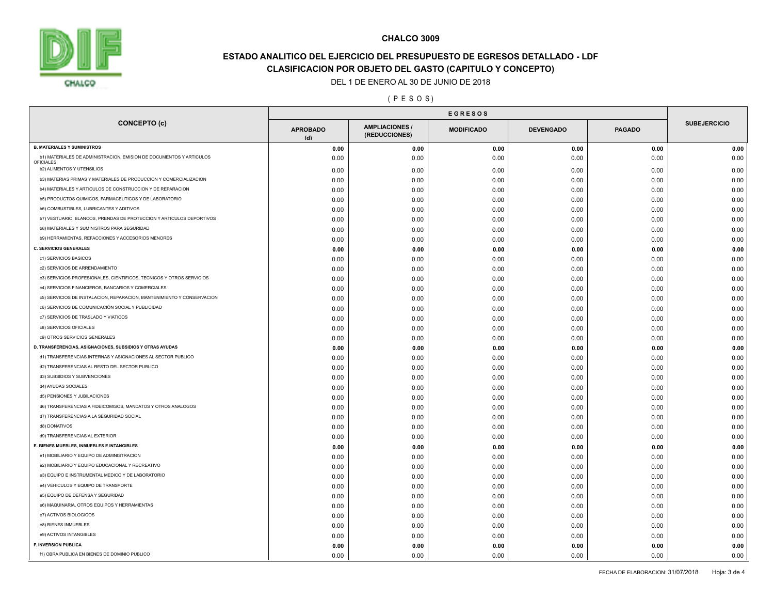

# **ESTADO ANALITICO DEL EJERCICIO DEL PRESUPUESTO DE EGRESOS DETALLADO - LDF CLASIFICACION POR OBJETO DEL GASTO (CAPITULO Y CONCEPTO)**

#### DEL 1 DE ENERO AL 30 DE JUNIO DE 2018

#### ( P E S O S )

|                                                                                  | <b>EGRESOS</b>         |                                        |                   |                  |               |                     |
|----------------------------------------------------------------------------------|------------------------|----------------------------------------|-------------------|------------------|---------------|---------------------|
| <b>CONCEPTO (c)</b>                                                              | <b>APROBADO</b><br>(d) | <b>AMPLIACIONES /</b><br>(REDUCCIONES) | <b>MODIFICADO</b> | <b>DEVENGADO</b> | <b>PAGADO</b> | <b>SUBEJERCICIO</b> |
| <b>B. MATERIALES Y SUMINISTROS</b>                                               | 0.00                   | 0.00                                   | 0.00              | 0.00             | 0.00          | 0.00                |
| b1) MATERIALES DE ADMINISTRACION, EMISION DE DOCUMENTOS Y ARTICULOS<br>OFICIALES | 0.00                   | 0.00                                   | 0.00              | 0.00             | 0.00          | 0.00                |
| b2) ALIMENTOS Y UTENSILIOS                                                       | 0.00                   | 0.00                                   | 0.00              | 0.00             | 0.00          | 0.00                |
| b3) MATERIAS PRIMAS Y MATERIALES DE PRODUCCION Y COMERCIALIZACION                | 0.00                   | 0.00                                   | 0.00              | 0.00             | 0.00          | 0.00                |
| b4) MATERIALES Y ARTICULOS DE CONSTRUCCION Y DE REPARACION                       | 0.00                   | 0.00                                   | 0.00              | 0.00             | 0.00          | 0.00                |
| b5) PRODUCTOS QUIMICOS, FARMACEUTICOS Y DE LABORATORIO                           | 0.00                   | 0.00                                   | 0.00              | 0.00             | 0.00          | 0.00                |
| <b>b6) COMBUSTIBLES, LUBRICANTES Y ADITIVOS</b>                                  | 0.00                   | 0.00                                   | 0.00              | 0.00             | 0.00          | 0.00                |
| b7) VESTUARIO, BLANCOS, PRENDAS DE PROTECCION Y ARTICULOS DEPORTIVOS             | 0.00                   | 0.00                                   | 0.00              | 0.00             | 0.00          | 0.00                |
| <b>b8) MATERIALES Y SUMINISTROS PARA SEGURIDAD</b>                               | 0.00                   | 0.00                                   | 0.00              | 0.00             | 0.00          | 0.00                |
| b9) HERRAMIENTAS, REFACCIONES Y ACCESORIOS MENORES                               | 0.00                   | 0.00                                   | 0.00              | 0.00             | 0.00          | 0.00                |
| <b>C. SERVICIOS GENERALES</b>                                                    | 0.00                   | 0.00                                   | 0.00              | 0.00             | 0.00          | 0.00                |
| c1) SERVICIOS BASICOS                                                            | 0.00                   | 0.00                                   | 0.00              | 0.00             | 0.00          | 0.00                |
| c2) SERVICIOS DE ARRENDAMIENTO                                                   | 0.00                   | 0.00                                   | 0.00              | 0.00             | 0.00          | 0.00                |
| c3) SERVICIOS PROFESIONALES, CIENTIFICOS, TECNICOS Y OTROS SERVICIOS             | 0.00                   | 0.00                                   | 0.00              | 0.00             | 0.00          | 0.00                |
| c4) SERVICIOS FINANCIEROS, BANCARIOS Y COMERCIALES                               | 0.00                   | 0.00                                   | 0.00              | 0.00             | 0.00          | 0.00                |
| c5) SERVICIOS DE INSTALACION, REPARACION, MANTENIMIENTO Y CONSERVACION           | 0.00                   | 0.00                                   | 0.00              | 0.00             | 0.00          | 0.00                |
| c6) SERVICIOS DE COMUNICACIÓN SOCIAL Y PUBLICIDAD                                | 0.00                   | 0.00                                   | 0.00              | 0.00             | 0.00          | 0.00                |
| c7) SERVICIOS DE TRASLADO Y VIATICOS                                             | 0.00                   | 0.00                                   | 0.00              | 0.00             | 0.00          | 0.00                |
| c8) SERVICIOS OFICIALES                                                          | 0.00                   | 0.00                                   | 0.00              | 0.00             | 0.00          | 0.00                |
| c9) OTROS SERVICIOS GENERALES                                                    | 0.00                   | 0.00                                   | 0.00              | 0.00             | 0.00          | 0.00                |
| D. TRANSFERENCIAS, ASIGNACIONES, SUBSIDIOS Y OTRAS AYUDAS                        | 0.00                   | 0.00                                   | 0.00              | 0.00             | 0.00          | 0.00                |
| d1) TRANSFERENCIAS INTERNAS Y ASIGNACIONES AL SECTOR PUBLICO                     | 0.00                   | 0.00                                   | 0.00              | 0.00             | 0.00          | 0.00                |
| d2) TRANSFERENCIAS AL RESTO DEL SECTOR PUBLICO                                   | 0.00                   | 0.00                                   | 0.00              | 0.00             | 0.00          | 0.00                |
| d3) SUBSIDIOS Y SUBVENCIONES                                                     | 0.00                   | 0.00                                   | 0.00              | 0.00             | 0.00          | 0.00                |
| d4) AYUDAS SOCIALES                                                              | 0.00                   | 0.00                                   | 0.00              | 0.00             | 0.00          | 0.00                |
| d5) PENSIONES Y JUBILACIONES                                                     | 0.00                   | 0.00                                   | 0.00              | 0.00             | 0.00          | 0.00                |
| d6) TRANSFERENCIAS A FIDEICOMISOS, MANDATOS Y OTROS ANALOGOS                     | 0.00                   | 0.00                                   | 0.00              | 0.00             | 0.00          | 0.00                |
| d7) TRANSFERENCIAS A LA SEGURIDAD SOCIAL                                         | 0.00                   | 0.00                                   | 0.00              | 0.00             | 0.00          | 0.00                |
| d8) DONATIVOS                                                                    | 0.00                   | 0.00                                   | 0.00              | 0.00             | 0.00          | 0.00                |
| d9) TRANSFERENCIAS AL EXTERIOR                                                   | 0.00                   | 0.00                                   | 0.00              | 0.00             | 0.00          | 0.00                |
| E. BIENES MUEBLES, INMUEBLES E INTANGIBLES                                       | 0.00                   | 0.00                                   | 0.00              | 0.00             | 0.00          | 0.00                |
| e1) MOBILIARIO Y EQUIPO DE ADMINISTRACION                                        | 0.00                   | 0.00                                   | 0.00              | 0.00             | 0.00          | 0.00                |
| e2) MOBILIARIO Y EQUIPO EDUCACIONAL Y RECREATIVO                                 | 0.00                   | 0.00                                   | 0.00              | 0.00             | 0.00          | 0.00                |
| e3) EQUIPO E INSTRUMENTAL MEDICO Y DE LABORATORIO                                | 0.00                   | 0.00                                   | 0.00              | 0.00             | 0.00          | 0.00                |
| e4) VEHICULOS Y EQUIPO DE TRANSPORTE                                             | 0.00                   | 0.00                                   | 0.00              | 0.00             | 0.00          | 0.00                |
| e5) EQUIPO DE DEFENSA Y SEGURIDAD                                                | 0.00                   | 0.00                                   | 0.00              | 0.00             | 0.00          | 0.00                |
| e6) MAQUINARIA, OTROS EQUIPOS Y HERRAMIENTAS                                     | 0.00                   | 0.00                                   | 0.00              | 0.00             | 0.00          | 0.00                |
| e7) ACTIVOS BIOLOGICOS                                                           | 0.00                   | 0.00                                   | 0.00              | 0.00             | 0.00          | 0.00                |
| e8) BIENES INMUEBLES                                                             | 0.00                   | 0.00                                   | 0.00              | 0.00             | 0.00          | 0.00                |
| e9) ACTIVOS INTANGIBLES                                                          | 0.00                   | 0.00                                   | 0.00              | 0.00             | 0.00          | 0.00                |
| <b>F. INVERSION PUBLICA</b>                                                      | 0.00                   | 0.00                                   | 0.00              | 0.00             | 0.00          | 0.00                |
| f1) OBRA PUBLICA EN BIENES DE DOMINIO PUBLICO                                    | 0.00                   | 0.00                                   | 0.00              | 0.00             | 0.00          | 0.00                |